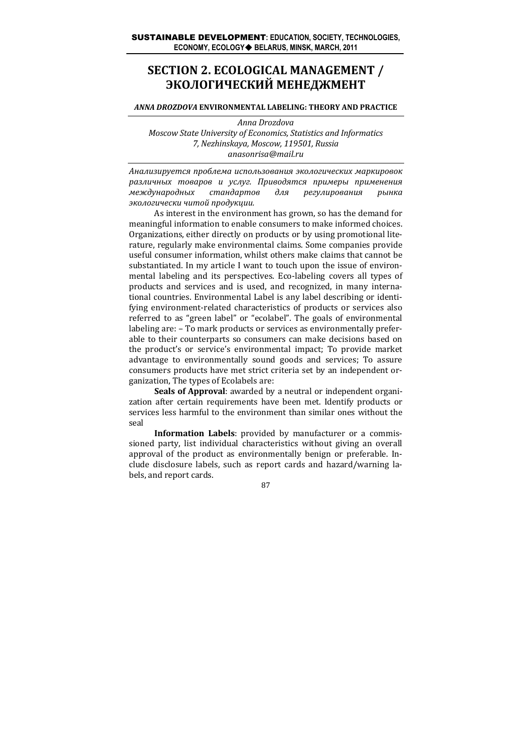# **SECTION 2. ECOLOGICAL MANAGEMENT / ЭКОЛОГИЧЕСКИЙ МЕНЕДЖМЕНТ**

#### *ANNA DROZDOVA* **ENVIRONMENTAL LABELING: THEORY AND PRACTICE**

*Anna Drozdova Moscow State University of Economics, Statistics and Informatics 7, Nezhinskaya, Moscow, 119501, Russia anasonrisa@mail.ru*

*Анализируется проблема использования экологических маркировок различных товаров и услуг. Приводятся примеры применения международных стандартов для регулирования рынка экологически читой продукции.*

As interest in the environment has grown, so has the demand for meaningful information to enable consumers to make informed choices. Organizations, either directly on products or by using promotional lite‐ rature, regularly make environmental claims. Some companies provide useful consumer information, whilst others make claims that cannot be substantiated. In my article I want to touch upon the issue of environ‐ mental labeling and its perspectives. Eco‐labeling covers all types of products and services and is used, and recognized, in many interna‐ tional countries. Environmental Label is any label describing or identi‐ fying environment-related characteristics of products or services also referred to as "green label" or "ecolabel". The goals of environmental labeling are: – To mark products or services as environmentally prefer‐ able to their counterparts so consumers can make decisions based on the product's or service's environmental impact; To provide market advantage to environmentally sound goods and services; To assure consumers products have met strict criteria set by an independent or‐ ganization, The types of Ecolabels are:

**Seals of Approval**: awarded by a neutral or independent organi‐ zation after certain requirements have been met. Identify products or services less harmful to the environment than similar ones without the seal

**Information Labels**: provided by manufacturer or a commissioned party, list individual characteristics without giving an overall approval of the product as environmentally benign or preferable. In‐ clude disclosure labels, such as report cards and hazard/warning la‐ bels, and report cards.

87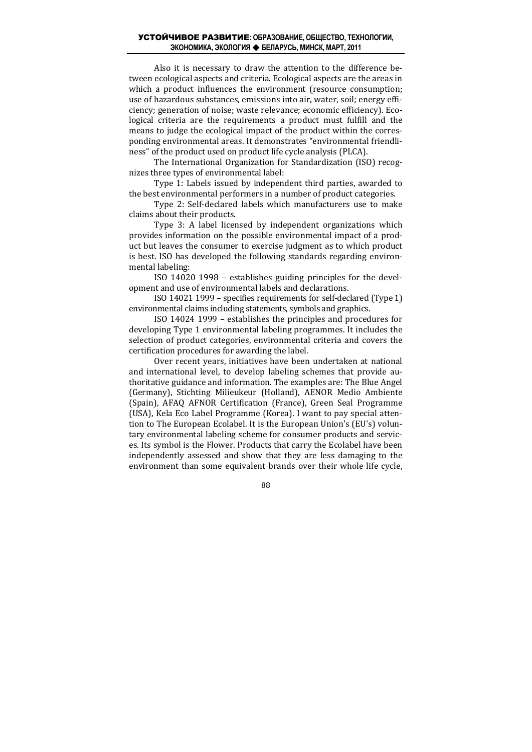### УСТОЙЧИВОЕ РАЗВИТИЕ**: ОБРАЗОВАНИЕ, ОБЩЕСТВО, ТЕХНОЛОГИИ, ЭКОНОМИКА, ЭКОЛОГИЯ БЕЛАРУСЬ, МИНСК, МАРТ, 2011**

Also it is necessary to draw the attention to the difference be‐ tween ecological aspects and criteria. Ecological aspects are the areas in which a product influences the environment (resource consumption; use of hazardous substances, emissions into air, water, soil; energy efficiency; generation of noise; waste relevance; economic efficiency). Eco‐ logical criteria are the requirements a product must fulfill and the means to judge the ecological impact of the product within the corresponding environmental areas. It demonstrates "environmental friendli‐ ness" of the product used on product life cycle analysis (PLCA).

The International Organization for Standardization (ISO) recognizes three types of environmental label:

Type 1: Labels issued by independent third parties, awarded to the best environmental performers in a number of product categories.

Type 2: Self-declared labels which manufacturers use to make claims about their products.

Type 3: A label licensed by independent organizations which provides information on the possible environmental impact of a prod‐ uct but leaves the consumer to exercise judgment as to which product is best. ISO has developed the following standards regarding environmental labeling:

ISO 14020 1998 – establishes guiding principles for the devel‐ opment and use of environmental labels and declarations.

ISO 14021 1999 – specifies requirements for self‐declared (Type 1) environmental claims including statements, symbols and graphics.

ISO 14024 1999 – establishes the principles and procedures for developing Type 1 environmental labeling programmes. It includes the selection of product categories, environmental criteria and covers the certification procedures for awarding the label.

Over recent years, initiatives have been undertaken at national and international level, to develop labeling schemes that provide authoritative guidance and information. The examples are: The Blue Angel (Germany), Stichting Milieukeur (Holland), AENOR Medio Ambiente (Spain), AFAQ AFNOR Certification (France), Green Seal Programme (USA), Kela Eco Label Programme (Korea). I want to pay special atten‐ tion to The European Ecolabel. It is the European Union's (EU's) volun‐ tary environmental labeling scheme for consumer products and servic‐ es. Its symbol is the Flower. Products that carry the Ecolabel have been independently assessed and show that they are less damaging to the environment than some equivalent brands over their whole life cycle,

88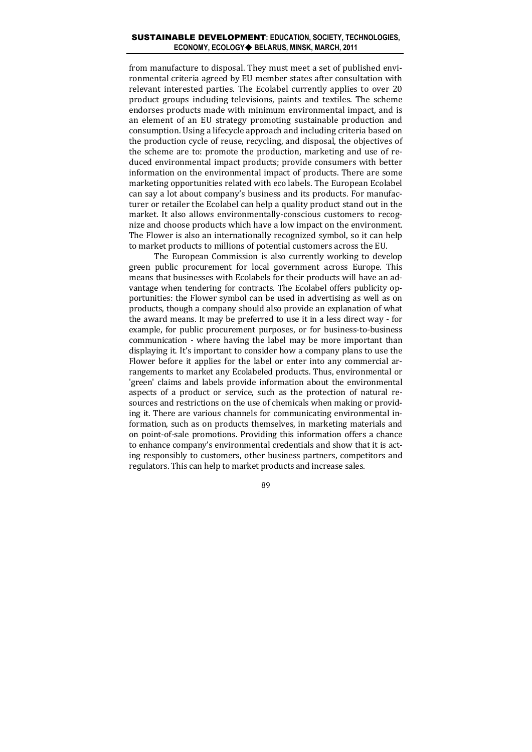## SUSTAINABLE DEVELOPMENT**: EDUCATION, SOCIETY, TECHNOLOGIES, ECONOMY, ECOLOGY BELARUS, MINSK, MARCH, 2011**

from manufacture to disposal. They must meet a set of published envi‐ ronmental criteria agreed by EU member states after consultation with relevant interested parties. The Ecolabel currently applies to over 20 product groups including televisions, paints and textiles. The scheme endorses products made with minimum environmental impact, and is an element of an EU strategy promoting sustainable production and consumption. Using a lifecycle approach and including criteria based on the production cycle of reuse, recycling, and disposal, the objectives of the scheme are to: promote the production, marketing and use of reduced environmental impact products; provide consumers with better information on the environmental impact of products. There are some marketing opportunities related with eco labels. The European Ecolabel can say a lot about company's business and its products. For manufacturer or retailer the Ecolabel can help a quality product stand out in the market. It also allows environmentally-conscious customers to recognize and choose products which have a low impact on the environment. The Flower is also an internationally recognized symbol, so it can help to market products to millions of potential customers across the EU.

The European Commission is also currently working to develop green public procurement for local government across Europe. This means that businesses with Ecolabels for their products will have an ad‐ vantage when tendering for contracts. The Ecolabel offers publicity opportunities: the Flower symbol can be used in advertising as well as on products, though a company should also provide an explanation of what the award means. It may be preferred to use it in a less direct way ‐ for example, for public procurement purposes, or for business-to-business communication - where having the label may be more important than displaying it. It's important to consider how a company plans to use the Flower before it applies for the label or enter into any commercial arrangements to market any Ecolabeled products. Thus, environmental or 'green' claims and labels provide information about the environmental aspects of a product or service, such as the protection of natural resources and restrictions on the use of chemicals when making or providing it. There are various channels for communicating environmental in‐ formation, such as on products themselves, in marketing materials and on point‐of‐sale promotions. Providing this information offers a chance to enhance company's environmental credentials and show that it is acting responsibly to customers, other business partners, competitors and regulators. This can help to market products and increase sales.

89